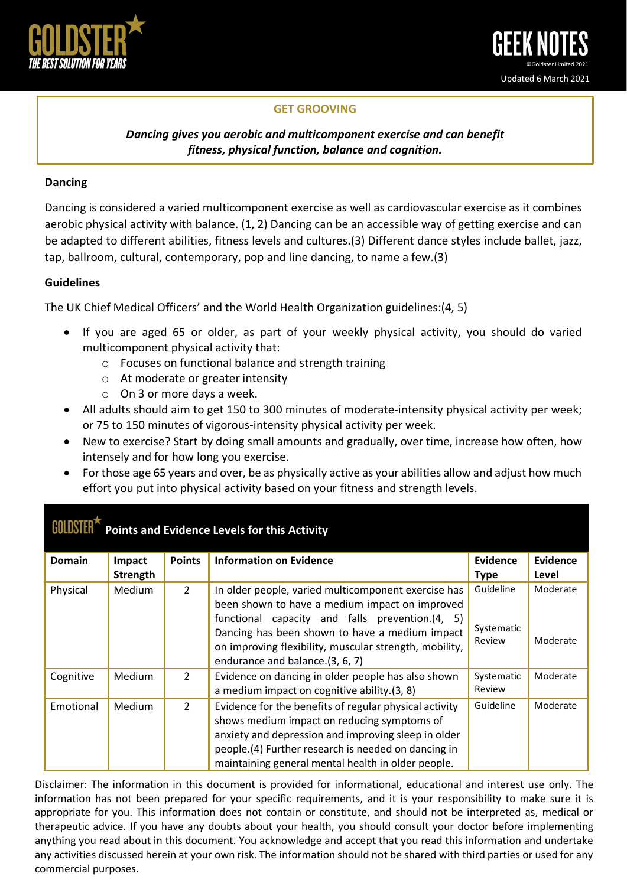

# **GET GROOVING**

## *Dancing gives you aerobic and multicomponent exercise and can benefit fitness, physical function, balance and cognition.*

#### **Dancing**

Dancing is considered a varied multicomponent exercise as well as cardiovascular exercise as it combines aerobic physical activity with balance. (1, 2) Dancing can be an accessible way of getting exercise and can be adapted to different abilities, fitness levels and cultures.(3) Different dance styles include ballet, jazz, tap, ballroom, cultural, contemporary, pop and line dancing, to name a few.(3)

#### **Guidelines**

The UK Chief Medical Officers' and the World Health Organization guidelines:(4, 5)

- If you are aged 65 or older, as part of your weekly physical activity, you should do varied multicomponent physical activity that:
	- o Focuses on functional balance and strength training
	- o At moderate or greater intensity
	- o On 3 or more days a week.
- All adults should aim to get 150 to 300 minutes of moderate-intensity physical activity per week; or 75 to 150 minutes of vigorous-intensity physical activity per week.
- New to exercise? Start by doing small amounts and gradually, over time, increase how often, how intensely and for how long you exercise.
- For those age 65 years and over, be as physically active as your abilities allow and adjust how much effort you put into physical activity based on your fitness and strength levels.

| <b>Domain</b> | Impact        | <b>Points</b>  | <b>Information on Evidence</b>                                                                                                                                                                                                                                            | Evidence                          | Evidence             |
|---------------|---------------|----------------|---------------------------------------------------------------------------------------------------------------------------------------------------------------------------------------------------------------------------------------------------------------------------|-----------------------------------|----------------------|
|               | Strength      |                |                                                                                                                                                                                                                                                                           | <b>Type</b>                       | Level                |
| Physical      | <b>Medium</b> | $\overline{2}$ | In older people, varied multicomponent exercise has<br>been shown to have a medium impact on improved<br>functional capacity and falls prevention.(4, 5)<br>Dancing has been shown to have a medium impact                                                                | Guideline<br>Systematic<br>Review | Moderate<br>Moderate |
|               |               |                | on improving flexibility, muscular strength, mobility,<br>endurance and balance.(3, 6, 7)                                                                                                                                                                                 |                                   |                      |
| Cognitive     | Medium        | $\overline{2}$ | Evidence on dancing in older people has also shown<br>a medium impact on cognitive ability.(3, 8)                                                                                                                                                                         | Systematic<br>Review              | Moderate             |
| Emotional     | <b>Medium</b> | $\overline{2}$ | Evidence for the benefits of regular physical activity<br>shows medium impact on reducing symptoms of<br>anxiety and depression and improving sleep in older<br>people.(4) Further research is needed on dancing in<br>maintaining general mental health in older people. | Guideline                         | Moderate             |

**Points and Evidence Levels for this Activity**

Disclaimer: The information in this document is provided for informational, educational and interest use only. The information has not been prepared for your specific requirements, and it is your responsibility to make sure it is appropriate for you. This information does not contain or constitute, and should not be interpreted as, medical or therapeutic advice. If you have any doubts about your health, you should consult your doctor before implementing anything you read about in this document. You acknowledge and accept that you read this information and undertake any activities discussed herein at your own risk. The information should not be shared with third parties or used for any commercial purposes.